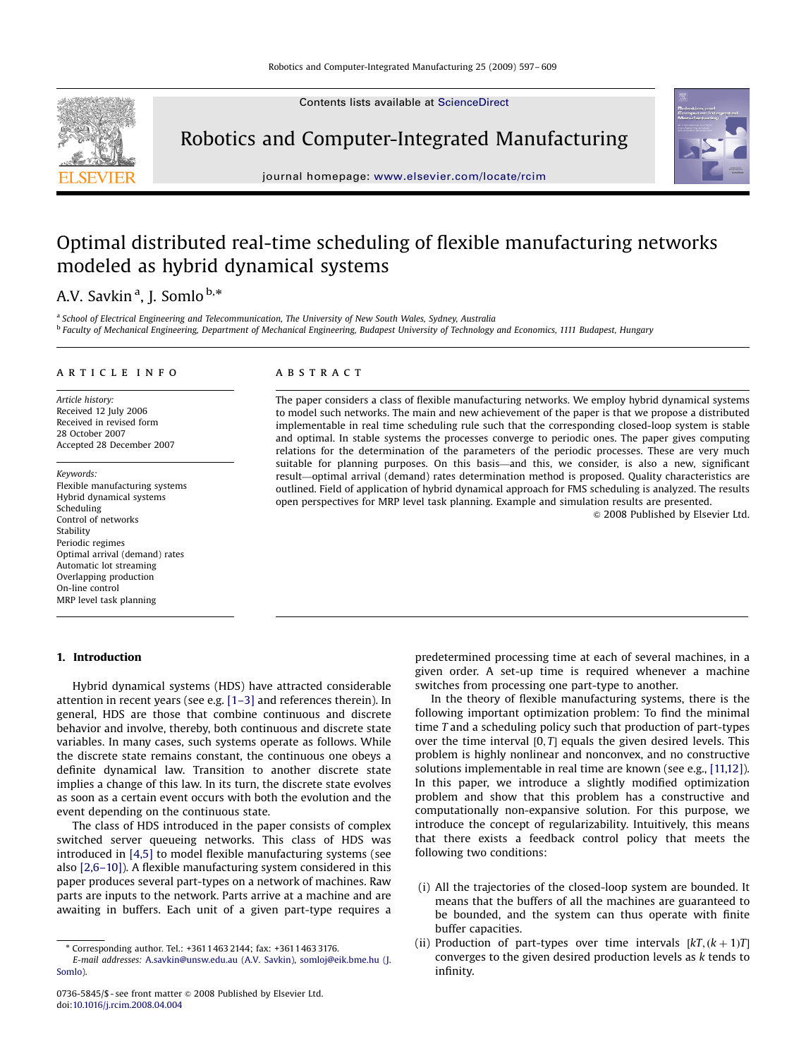Contents lists available at [ScienceDirect](www.sciencedirect.com/science/journal/rcm)



## Robotics and Computer-Integrated Manufacturing



journal homepage: <www.elsevier.com/locate/rcim>

### Optimal distributed real-time scheduling of flexible manufacturing networks modeled as hybrid dynamical systems

### A.V. Savkin<sup>a</sup>, J. Somlo <sup>b,\*</sup>

<sup>a</sup> School of Electrical Engineering and Telecommunication. The University of New South Wales, Sydney, Australia <sup>b</sup> Faculty of Mechanical Engineering, Department of Mechanical Engineering, Budapest University of Technology and Economics, 1111 Budapest, Hungary

#### article info

Article history: Received 12 July 2006 Received in revised form 28 October 2007 Accepted 28 December 2007

Keywords: Flexible manufacturing systems Hybrid dynamical systems Scheduling Control of networks Stability Periodic regimes Optimal arrival (demand) rates Automatic lot streaming Overlapping production On-line control MRP level task planning

#### 1. Introduction

#### ABSTRACT

The paper considers a class of flexible manufacturing networks. We employ hybrid dynamical systems to model such networks. The main and new achievement of the paper is that we propose a distributed implementable in real time scheduling rule such that the corresponding closed-loop system is stable and optimal. In stable systems the processes converge to periodic ones. The paper gives computing relations for the determination of the parameters of the periodic processes. These are very much suitable for planning purposes. On this basis—and this, we consider, is also a new, significant result—optimal arrival (demand) rates determination method is proposed. Quality characteristics are outlined. Field of application of hybrid dynamical approach for FMS scheduling is analyzed. The results open perspectives for MRP level task planning. Example and simulation results are presented.

 $@$  2008 Published by Elsevier Ltd.

Hybrid dynamical systems (HDS) have attracted considerable attention in recent years (see e.g. [\[1–3\]](#page--1-0) and references therein). In general, HDS are those that combine continuous and discrete behavior and involve, thereby, both continuous and discrete state variables. In many cases, such systems operate as follows. While the discrete state remains constant, the continuous one obeys a definite dynamical law. Transition to another discrete state implies a change of this law. In its turn, the discrete state evolves as soon as a certain event occurs with both the evolution and the event depending on the continuous state.

The class of HDS introduced in the paper consists of complex switched server queueing networks. This class of HDS was introduced in [\[4,5\]](#page--1-0) to model flexible manufacturing systems (see also [\[2,6–10\]\)](#page--1-0). A flexible manufacturing system considered in this paper produces several part-types on a network of machines. Raw parts are inputs to the network. Parts arrive at a machine and are awaiting in buffers. Each unit of a given part-type requires a

predetermined processing time at each of several machines, in a given order. A set-up time is required whenever a machine switches from processing one part-type to another.

In the theory of flexible manufacturing systems, there is the following important optimization problem: To find the minimal time T and a scheduling policy such that production of part-types over the time interval  $[0, T]$  equals the given desired levels. This problem is highly nonlinear and nonconvex, and no constructive solutions implementable in real time are known (see e.g., [\[11,12\]\)](#page--1-0). In this paper, we introduce a slightly modified optimization problem and show that this problem has a constructive and computationally non-expansive solution. For this purpose, we introduce the concept of regularizability. Intuitively, this means that there exists a feedback control policy that meets the following two conditions:

- (i) All the trajectories of the closed-loop system are bounded. It means that the buffers of all the machines are guaranteed to be bounded, and the system can thus operate with finite buffer capacities.
- (ii) Production of part-types over time intervals  $[kT, (k+1)T]$ converges to the given desired production levels as k tends to infinity.

<sup>-</sup> Corresponding author. Tel.: +3611463 2144; fax: +3611463 3176.

E-mail addresses: [A.savkin@unsw.edu.au \(A.V. Savkin\),](mailto:A.savkin@unsw.edu.au) [somloj@eik.bme.hu \(J.](mailto:somloj@eik.bme.hu) [Somlo\)](mailto:somloj@eik.bme.hu).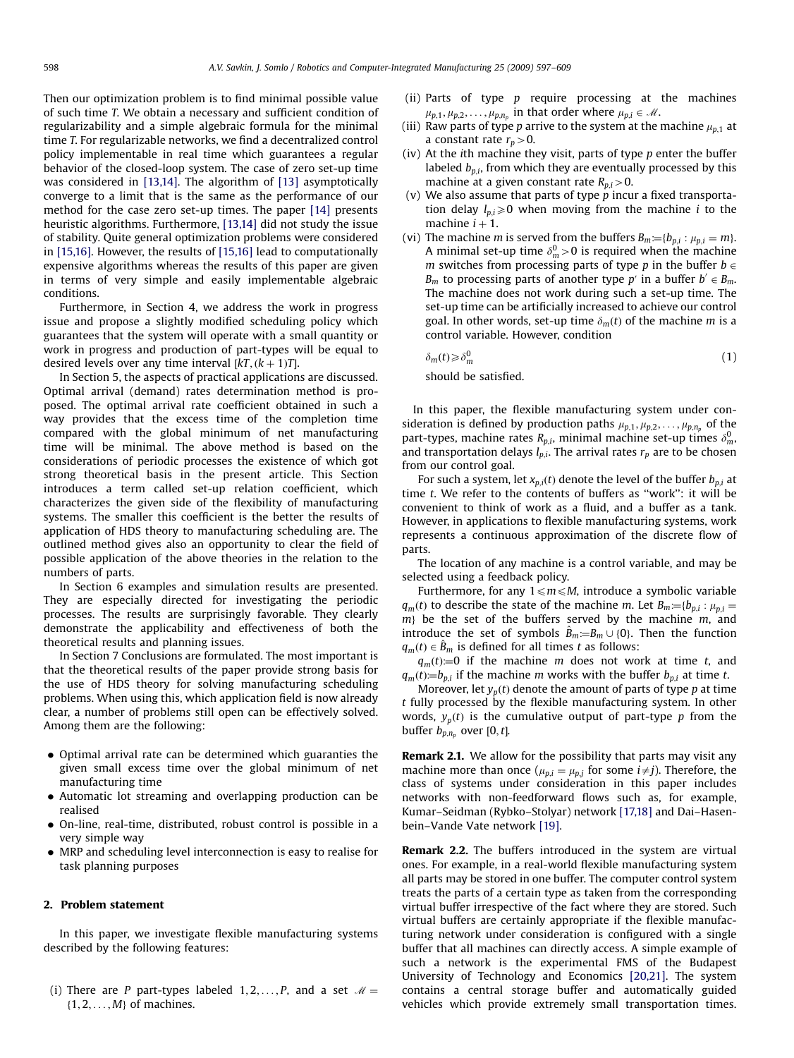Then our optimization problem is to find minimal possible value of such time T. We obtain a necessary and sufficient condition of regularizability and a simple algebraic formula for the minimal time T. For regularizable networks, we find a decentralized control policy implementable in real time which guarantees a regular behavior of the closed-loop system. The case of zero set-up time was considered in [\[13,14\]](#page--1-0). The algorithm of [\[13\]](#page--1-0) asymptotically converge to a limit that is the same as the performance of our method for the case zero set-up times. The paper [\[14\]](#page--1-0) presents heuristic algorithms. Furthermore, [\[13,14\]](#page--1-0) did not study the issue of stability. Quite general optimization problems were considered in [\[15,16\]](#page--1-0). However, the results of [\[15,16\]](#page--1-0) lead to computationally expensive algorithms whereas the results of this paper are given in terms of very simple and easily implementable algebraic conditions.

Furthermore, in Section 4, we address the work in progress issue and propose a slightly modified scheduling policy which guarantees that the system will operate with a small quantity or work in progress and production of part-types will be equal to desired levels over any time interval [kT,  $(k+1)T$ ].

In Section 5, the aspects of practical applications are discussed. Optimal arrival (demand) rates determination method is proposed. The optimal arrival rate coefficient obtained in such a way provides that the excess time of the completion time compared with the global minimum of net manufacturing time will be minimal. The above method is based on the considerations of periodic processes the existence of which got strong theoretical basis in the present article. This Section introduces a term called set-up relation coefficient, which characterizes the given side of the flexibility of manufacturing systems. The smaller this coefficient is the better the results of application of HDS theory to manufacturing scheduling are. The outlined method gives also an opportunity to clear the field of possible application of the above theories in the relation to the numbers of parts.

In Section 6 examples and simulation results are presented. They are especially directed for investigating the periodic processes. The results are surprisingly favorable. They clearly demonstrate the applicability and effectiveness of both the theoretical results and planning issues.

In Section 7 Conclusions are formulated. The most important is that the theoretical results of the paper provide strong basis for the use of HDS theory for solving manufacturing scheduling problems. When using this, which application field is now already clear, a number of problems still open can be effectively solved. Among them are the following:

- Optimal arrival rate can be determined which guaranties the given small excess time over the global minimum of net manufacturing time
- Automatic lot streaming and overlapping production can be realised
- On-line, real-time, distributed, robust control is possible in a very simple way
- MRP and scheduling level interconnection is easy to realise for task planning purposes

#### 2. Problem statement

In this paper, we investigate flexible manufacturing systems described by the following features:

(i) There are P part-types labeled  $1, 2, \ldots, P$ , and a set  $\mathcal{M} =$  $\{1, 2, \ldots, M\}$  of machines.

- (ii) Parts of type p require processing at the machines  $\mu_{p,1}, \mu_{p,2}, \ldots, \mu_{p,n_p}$  in that order where  $\mu_{p,i} \in \mathcal{M}$ .
- (iii) Raw parts of type p arrive to the system at the machine  $\mu_{n,1}$  at a constant rate  $r_p > 0$ .
- (iv) At the ith machine they visit, parts of type  $p$  enter the buffer labeled  $b_{p,i}$ , from which they are eventually processed by this machine at a given constant rate  $R_{p,i}$  > 0.
- (v) We also assume that parts of type  $p$  incur a fixed transportation delay  $l_{p,i}\geq 0$  when moving from the machine *i* to the machine  $i + 1$ .
- (vi) The machine *m* is served from the buffers  $B_m = \{b_{p,i} : \mu_{p,i} = m\}.$ A minimal set-up time  $\delta_m^0 > 0$  is required when the machine m switches from processing parts of type p in the buffer  $b \in$  $B_m$  to processing parts of another type p' in a buffer  $b' \in B_m$ . The machine does not work during such a set-up time. The set-up time can be artificially increased to achieve our control goal. In other words, set-up time  $\delta_m(t)$  of the machine m is a control variable. However, condition

$$
\delta_m(t) \geqslant \delta_m^0 \tag{1}
$$

should be satisfied.

In this paper, the flexible manufacturing system under consideration is defined by production paths  $\mu_{p,1}, \mu_{p,2}, \ldots, \mu_{p,n_p}$  of the part-types, machine rates  $R_{p,i}$ , minimal machine set-up times  $\delta_{m}^0$ and transportation delays  $l_{p,i}$ . The arrival rates  $r_p$  are to be chosen from our control goal.

For such a system, let  $x_{p,i}(t)$  denote the level of the buffer  $b_{p,i}$  at time  $t$ . We refer to the contents of buffers as "work": it will be convenient to think of work as a fluid, and a buffer as a tank. However, in applications to flexible manufacturing systems, work represents a continuous approximation of the discrete flow of parts.

The location of any machine is a control variable, and may be selected using a feedback policy.

Furthermore, for any  $1 \le m \le M$ , introduce a symbolic variable  $q_m(t)$  to describe the state of the machine m. Let  $B_m = \{b_{p,i} : \mu_{p,i} = \emptyset\}$  $m$ } be the set of the buffers served by the machine  $m$ , and introduce the set of symbols  $\hat{B}_m := B_m \cup \{0\}$ . Then the function  $q_m(t) \in \hat{B}_m$  is defined for all times t as follows:

 $q_m(t) = 0$  if the machine m does not work at time t, and  $q_m(t) = b_{p,i}$  if the machine m works with the buffer  $b_{p,i}$  at time t.

Moreover, let  $y_p(t)$  denote the amount of parts of type p at time t fully processed by the flexible manufacturing system. In other words,  $y_p(t)$  is the cumulative output of part-type p from the buffer  $b_{p,n_p}$  over [0, t].

**Remark 2.1.** We allow for the possibility that parts may visit any machine more than once ( $\mu_{p,i} = \mu_{p,j}$  for some  $i \neq j$ ). Therefore, the class of systems under consideration in this paper includes networks with non-feedforward flows such as, for example, Kumar–Seidman (Rybko–Stolyar) network [\[17,18\]](#page--1-0) and Dai–Hasenbein–Vande Vate network [\[19\].](#page--1-0)

Remark 2.2. The buffers introduced in the system are virtual ones. For example, in a real-world flexible manufacturing system all parts may be stored in one buffer. The computer control system treats the parts of a certain type as taken from the corresponding virtual buffer irrespective of the fact where they are stored. Such virtual buffers are certainly appropriate if the flexible manufacturing network under consideration is configured with a single buffer that all machines can directly access. A simple example of such a network is the experimental FMS of the Budapest University of Technology and Economics [\[20,21\]](#page--1-0). The system contains a central storage buffer and automatically guided vehicles which provide extremely small transportation times.